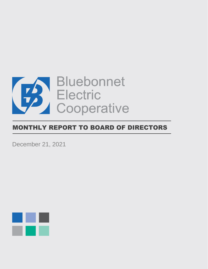

# MONTHLY REPORT TO BOARD OF DIRECTORS

December 21, 2021

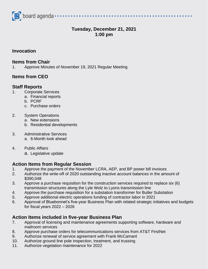

# **Tuesday, December 21, 2021 1:00 pm**

## **Invocation**

#### **Items from Chair**

1. Approve Minutes of November 19, 2021 Regular Meeting

# **Items from CEO**

## **Staff Reports**

- 1. Corporate Services
	- a. Financial reports
	- b. PCRF
	- c. Purchase orders

#### 2. System Operations

- a. New extensions
- b. Residential developments
- 3. Administrative Services a. 6-Month look ahead
- 4. Public Affairs
	- a. Legislative update

#### **Action Items from Regular Session**

- 1. Approve the payment of the November LCRA, AEP, and BP power bill invoices
- 2. Authorize the write-off of 2020 outstanding inactive account balances in the amount of \$390,048
- 3. Approve a purchase requisition for the construction services required to replace six (6) transmission structures along the Lyle Wolz to Lyons transmission line
- 4. Approve the purchase requisition for a substation transformer for Butler Substation
- 5. Approve additional electric operations funding of contractor labor in 2021
- 6. Approval of Bluebonnet's five-year Business Plan with related strategic initiatives and budgets for fiscal years 2022 – 2026

## **Action Items included in five-year Business Plan**

- 7. Approval of licensing and maintenance agreements supporting software, hardware and mailroom services
- 8. Approve purchase orders for telecommunications services from AT&T FirstNet
- 9. Authorize renewal of service agreement with Frank McCamant
- 10. Authorize ground line pole inspection, treatment, and trussing
- 11. Authorize vegetation maintenance for 2022